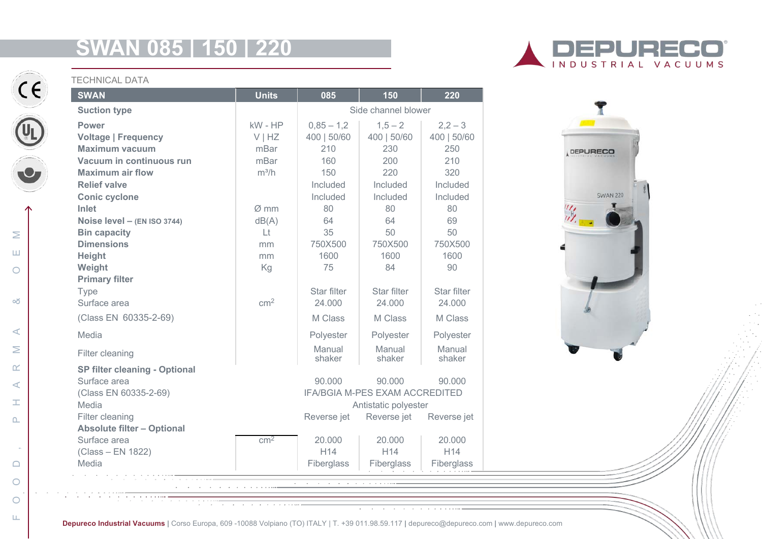# **SWAN 085 | 150 | 220**



### TECHNICAL DATA

| <b>SWAN</b>                                        | <b>Units</b>     | 085                                       | 150             | 220             |
|----------------------------------------------------|------------------|-------------------------------------------|-----------------|-----------------|
| <b>Suction type</b>                                |                  | Side channel blower                       |                 |                 |
| <b>Power</b>                                       | kW - HP          | $0,85 - 1,2$                              | $1,5 - 2$       | $2,2-3$         |
| <b>Voltage   Frequency</b>                         | VIHZ             | 400   50/60                               | 400   50/60     | 400   50/60     |
| <b>Maximum vacuum</b>                              | mBar             | 210                                       | 230             | 250             |
| Vacuum in continuous run                           | mBar             | 160                                       | 200             | 210             |
| <b>Maximum air flow</b>                            | $m^3/h$          | 150                                       | 220             | 320             |
| <b>Relief valve</b>                                |                  | Included                                  | Included        | Included        |
| <b>Conic cyclone</b>                               |                  | Included                                  | Included        | Included        |
| Inlet                                              | $\varnothing$ mm | 80                                        | 80              | 80              |
| Noise level - (EN ISO 3744)                        | dB(A)            | 64                                        | 64              | 69              |
| <b>Bin capacity</b>                                | Lt               | 35                                        | 50              | 50              |
| <b>Dimensions</b>                                  | mm               | 750X500                                   | 750X500         | 750X500         |
| <b>Height</b>                                      | mm               | 1600                                      | 1600            | 1600            |
| Weight                                             | Kg               | 75                                        | 84              | 90              |
| <b>Primary filter</b>                              |                  |                                           |                 |                 |
| Type                                               |                  | Star filter                               | Star filter     | Star filter     |
| Surface area                                       | cm <sup>2</sup>  | 24.000                                    | 24.000          | 24.000          |
| (Class EN 60335-2-69)                              |                  | M Class                                   | M Class         | M Class         |
| Media                                              |                  | Polyester                                 | Polyester       | Polyester       |
| Filter cleaning                                    |                  | Manual                                    | Manual          | Manual          |
| <b>SP filter cleaning - Optional</b>               |                  | shaker                                    | shaker          | shaker          |
| Surface area                                       |                  | 90,000                                    | 90,000          | 90,000          |
| (Class EN 60335-2-69)                              |                  | <b>IFA/BGIA M-PES EXAM ACCREDITED</b>     |                 |                 |
| Media                                              |                  | Antistatic polyester                      |                 |                 |
| Filter cleaning                                    |                  | Reverse jet<br>Reverse jet<br>Reverse jet |                 |                 |
| <b>Absolute filter - Optional</b>                  |                  |                                           |                 |                 |
| Surface area                                       | cm <sup>2</sup>  | 20,000                                    | 20,000          | 20,000          |
| (Class - EN 1822)                                  |                  | H <sub>14</sub>                           | H <sub>14</sub> | H <sub>14</sub> |
| Media                                              |                  | Fiberglass                                | Fiberglass      | Fiberglass      |
|                                                    |                  |                                           |                 |                 |
| a construction of the contract of the construction |                  |                                           |                 |                 |
|                                                    |                  |                                           |                 |                 |

INDUSTRIAL VACUUMS



**Depureco Industrial Vacuums |** Corso Europa, 609 -10088 Volpiano (TO) ITALY | T. +39 011.98.59.117 **|** depureco@depureco.com **|** www.depureco.com

 $\circ$ 

 $\circ$  $\mathbf{L}$   $\sim$